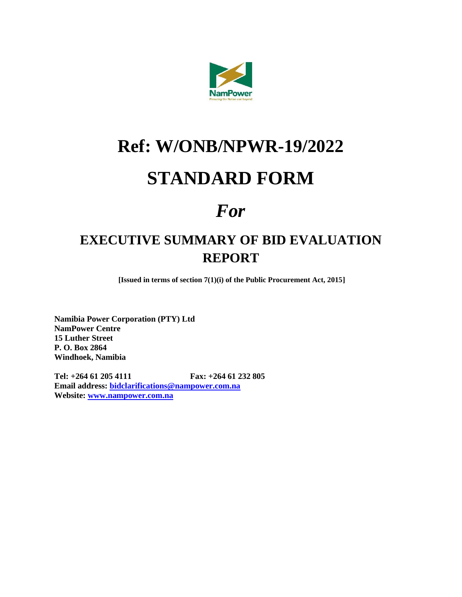

# **Ref: W/ONB/NPWR-19/2022**

# **STANDARD FORM**

# *For*

### **EXECUTIVE SUMMARY OF BID EVALUATION REPORT**

**[Issued in terms of section 7(1)(i) of the Public Procurement Act, 2015]**

**Namibia Power Corporation (PTY) Ltd NamPower Centre 15 Luther Street P. O. Box 2864 Windhoek, Namibia**

**Tel: +264 61 205 4111 Fax: +264 61 232 805 Email address: [bidclarifications@nampower.com.na](mailto:bidclarifications@nampower.com.na) Website: [www.nampower.com.na](http://www.nampower.com.na/)**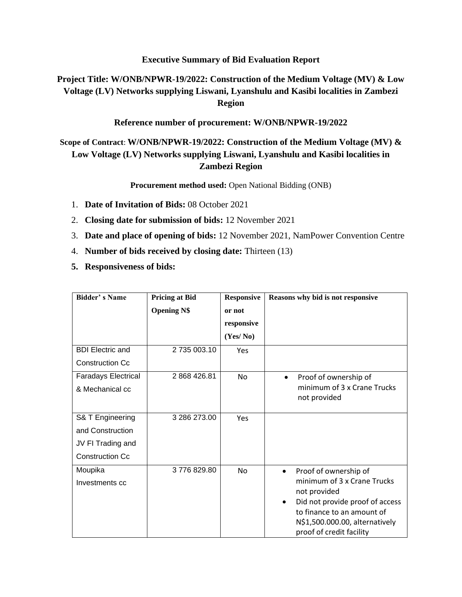#### **Executive Summary of Bid Evaluation Report**

### **Project Title: W/ONB/NPWR-19/2022: Construction of the Medium Voltage (MV) & Low Voltage (LV) Networks supplying Liswani, Lyanshulu and Kasibi localities in Zambezi Region**

**Reference number of procurement: W/ONB/NPWR-19/2022**

### **Scope of Contract**: **W/ONB/NPWR-19/2022: Construction of the Medium Voltage (MV) & Low Voltage (LV) Networks supplying Liswani, Lyanshulu and Kasibi localities in Zambezi Region**

**Procurement method used:** Open National Bidding (ONB)

- 1. **Date of Invitation of Bids:** 08 October 2021
- 2. **Closing date for submission of bids:** 12 November 2021
- 3. **Date and place of opening of bids:** 12 November 2021, NamPower Convention Centre
- 4. **Number of bids received by closing date:** Thirteen (13)
- **5. Responsiveness of bids:**

| <b>Bidder's Name</b>       | <b>Pricing at Bid</b> | <b>Responsive</b> | Reasons why bid is not responsive                          |  |  |
|----------------------------|-----------------------|-------------------|------------------------------------------------------------|--|--|
|                            | <b>Opening N\$</b>    | or not            |                                                            |  |  |
|                            |                       | responsive        |                                                            |  |  |
|                            |                       | (Yes/No)          |                                                            |  |  |
| <b>BDI Electric and</b>    | 2735 003.10           | Yes               |                                                            |  |  |
| <b>Construction Cc</b>     |                       |                   |                                                            |  |  |
| <b>Faradays Electrical</b> | 2 868 426.81          | No                | Proof of ownership of<br>$\bullet$                         |  |  |
| & Mechanical cc            |                       |                   | minimum of 3 x Crane Trucks                                |  |  |
|                            |                       |                   | not provided                                               |  |  |
| S& T Engineering           | 3 286 273.00          | Yes               |                                                            |  |  |
| and Construction           |                       |                   |                                                            |  |  |
| JV FI Trading and          |                       |                   |                                                            |  |  |
| <b>Construction Cc</b>     |                       |                   |                                                            |  |  |
| Moupika                    | 3776829.80            | <b>No</b>         | Proof of ownership of<br>$\bullet$                         |  |  |
| Investments cc             |                       |                   | minimum of 3 x Crane Trucks<br>not provided                |  |  |
|                            |                       |                   | Did not provide proof of access                            |  |  |
|                            |                       |                   | to finance to an amount of                                 |  |  |
|                            |                       |                   | N\$1,500.000.00, alternatively<br>proof of credit facility |  |  |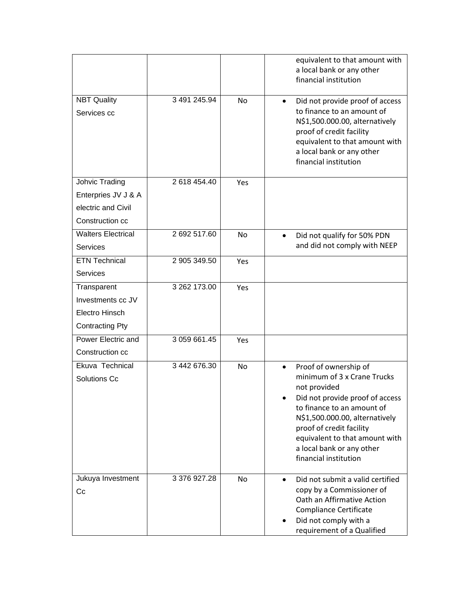|                                                                                |              |           | equivalent to that amount with<br>a local bank or any other<br>financial institution                                                                                                                                                                                                                     |
|--------------------------------------------------------------------------------|--------------|-----------|----------------------------------------------------------------------------------------------------------------------------------------------------------------------------------------------------------------------------------------------------------------------------------------------------------|
| <b>NBT Quality</b><br>Services cc                                              | 3 491 245.94 | <b>No</b> | Did not provide proof of access<br>$\bullet$<br>to finance to an amount of<br>N\$1,500.000.00, alternatively<br>proof of credit facility<br>equivalent to that amount with<br>a local bank or any other<br>financial institution                                                                         |
| Johvic Trading<br>Enterpries JV J & A<br>electric and Civil<br>Construction cc | 2 618 454.40 | Yes       |                                                                                                                                                                                                                                                                                                          |
| <b>Walters Electrical</b><br><b>Services</b>                                   | 2 692 517.60 | No        | Did not qualify for 50% PDN<br>$\bullet$<br>and did not comply with NEEP                                                                                                                                                                                                                                 |
| <b>ETN Technical</b><br><b>Services</b>                                        | 2 905 349.50 | Yes       |                                                                                                                                                                                                                                                                                                          |
| Transparent<br>Investments cc JV<br>Electro Hinsch<br><b>Contracting Pty</b>   | 3 262 173.00 | Yes       |                                                                                                                                                                                                                                                                                                          |
| Power Electric and<br>Construction cc                                          | 3 059 661.45 | Yes       |                                                                                                                                                                                                                                                                                                          |
| Ekuva Technical<br>Solutions Cc                                                | 3 442 676.30 | No        | Proof of ownership of<br>$\bullet$<br>minimum of 3 x Crane Trucks<br>not provided<br>Did not provide proof of access<br>to finance to an amount of<br>N\$1,500.000.00, alternatively<br>proof of credit facility<br>equivalent to that amount with<br>a local bank or any other<br>financial institution |
| Jukuya Investment<br>Cc                                                        | 3 376 927.28 | No        | Did not submit a valid certified<br>copy by a Commissioner of<br>Oath an Affirmative Action<br><b>Compliance Certificate</b><br>Did not comply with a<br>requirement of a Qualified                                                                                                                      |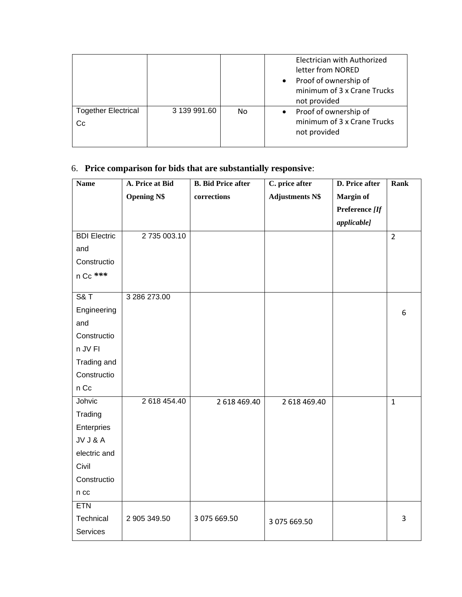|                                  |              |    | Electrician with Authorized<br>letter from NORED<br>Proof of ownership of<br>$\bullet$<br>minimum of 3 x Crane Trucks<br>not provided |
|----------------------------------|--------------|----|---------------------------------------------------------------------------------------------------------------------------------------|
| <b>Together Electrical</b><br>Cc | 3 139 991.60 | No | Proof of ownership of<br>$\bullet$<br>minimum of 3 x Crane Trucks<br>not provided                                                     |

### 6. **Price comparison for bids that are substantially responsive**:

| <b>Name</b>         | A. Price at Bid    | <b>B.</b> Bid Price after | C. price after         | D. Price after   | Rank           |
|---------------------|--------------------|---------------------------|------------------------|------------------|----------------|
|                     | <b>Opening N\$</b> | corrections               | <b>Adjustments N\$</b> | <b>Margin of</b> |                |
|                     |                    |                           |                        | Preference [If   |                |
|                     |                    |                           |                        | applicable]      |                |
| <b>BDI Electric</b> | 2 735 003.10       |                           |                        |                  | $\overline{2}$ |
| and                 |                    |                           |                        |                  |                |
| Constructio         |                    |                           |                        |                  |                |
| n Cc ***            |                    |                           |                        |                  |                |
|                     |                    |                           |                        |                  |                |
| <b>S&amp;T</b>      | 3 286 273.00       |                           |                        |                  |                |
| Engineering         |                    |                           |                        |                  | 6              |
| and                 |                    |                           |                        |                  |                |
| Constructio         |                    |                           |                        |                  |                |
| n JV FI             |                    |                           |                        |                  |                |
| Trading and         |                    |                           |                        |                  |                |
| Constructio         |                    |                           |                        |                  |                |
| n Cc                |                    |                           |                        |                  |                |
| Johvic              | 2 618 454.40       | 2 618 469.40              | 2 618 469.40           |                  | $\mathbf{1}$   |
| Trading             |                    |                           |                        |                  |                |
| Enterpries          |                    |                           |                        |                  |                |
| JV J & A            |                    |                           |                        |                  |                |
| electric and        |                    |                           |                        |                  |                |
| Civil               |                    |                           |                        |                  |                |
| Constructio         |                    |                           |                        |                  |                |
| $n$ cc              |                    |                           |                        |                  |                |
| <b>ETN</b>          |                    |                           |                        |                  |                |
| Technical           | 2 905 349.50       | 3 075 669.50              | 3 075 669.50           |                  | 3              |
| Services            |                    |                           |                        |                  |                |